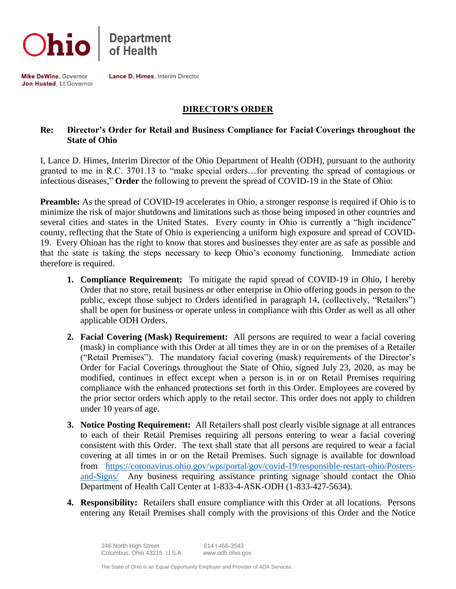



**Mike DeWine, Governor** Jon Husted, Lt. Governor Lance D. Himes, Interim Director

## **DIRECTOR'S ORDER**

## **Re: Director's Order for Retail and Business Compliance for Facial Coverings throughout the State of Ohio**

I, Lance D. Himes, Interim Director of the Ohio Department of Health (ODH), pursuant to the authority granted to me in R.C. 3701.13 to "make special orders…for preventing the spread of contagious or infectious diseases," **Order** the following to prevent the spread of COVID-19 in the State of Ohio:

**Preamble:** As the spread of COVID-19 accelerates in Ohio, a stronger response is required if Ohio is to minimize the risk of major shutdowns and limitations such as those being imposed in other countries and several cities and states in the United States. Every county in Ohio is currently a "high incidence" county, reflecting that the State of Ohio is experiencing a uniform high exposure and spread of COVID-19. Every Ohioan has the right to know that stores and businesses they enter are as safe as possible and that the state is taking the steps necessary to keep Ohio's economy functioning. Immediate action therefore is required.

- **1. Compliance Requirement:** To mitigate the rapid spread of COVID-19 in Ohio, I hereby Order that no store, retail business or other enterprise in Ohio offering goods in person to the public, except those subject to Orders identified in paragraph 14, (collectively, "Retailers") shall be open for business or operate unless in compliance with this Order as well as all other applicable ODH Orders.
- **2. Facial Covering (Mask) Requirement:** All persons are required to wear a facial covering (mask) in compliance with this Order at all times they are in or on the premises of a Retailer ("Retail Premises"). The mandatory facial covering (mask) requirements of the Director's Order for Facial Coverings throughout the State of Ohio, signed July 23, 2020, as may be modified, continues in effect except when a person is in or on Retail Premises requiring compliance with the enhanced protections set forth in this Order. Employees are covered by the prior sector orders which apply to the retail sector. This order does not apply to children under 10 years of age.
- **3. Notice Posting Requirement:** All Retailers shall post clearly visible signage at all entrances to each of their Retail Premises requiring all persons entering to wear a facial covering consistent with this Order. The text shall state that all persons are required to wear a facial covering at all times in or on the Retail Premises. Such signage is available for download from [https://coronavirus.ohio.gov/wps/portal/gov/covid-19/responsible-restart-ohio/Posters](https://coronavirus.ohio.gov/wps/portal/gov/covid-19/responsible-restart-ohio/Posters-and-Signs/)[and-Signs/](https://coronavirus.ohio.gov/wps/portal/gov/covid-19/responsible-restart-ohio/Posters-and-Signs/) Any business requiring assistance printing signage should contact the Ohio Department of Health Call Center at 1-833-4-ASK-ODH (1-833-427-5634).
- **4. Responsibility:** Retailers shall ensure compliance with this Order at all locations. Persons entering any Retail Premises shall comply with the provisions of this Order and the Notice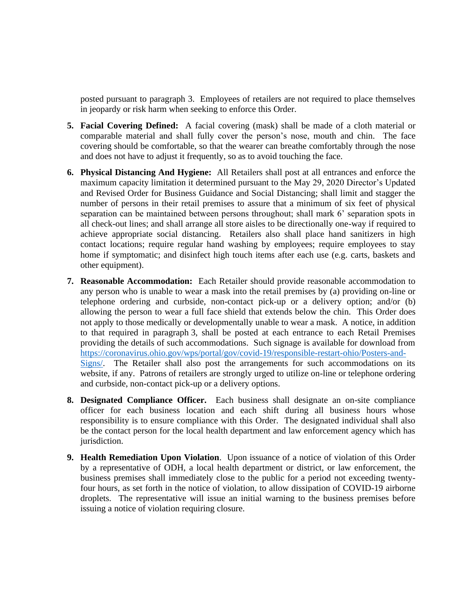posted pursuant to paragraph 3. Employees of retailers are not required to place themselves in jeopardy or risk harm when seeking to enforce this Order.

- **5. Facial Covering Defined:** A facial covering (mask) shall be made of a cloth material or comparable material and shall fully cover the person's nose, mouth and chin. The face covering should be comfortable, so that the wearer can breathe comfortably through the nose and does not have to adjust it frequently, so as to avoid touching the face.
- **6. Physical Distancing And Hygiene:** All Retailers shall post at all entrances and enforce the maximum capacity limitation it determined pursuant to the May 29, 2020 Director's Updated and Revised Order for Business Guidance and Social Distancing; shall limit and stagger the number of persons in their retail premises to assure that a minimum of six feet of physical separation can be maintained between persons throughout; shall mark 6' separation spots in all check-out lines; and shall arrange all store aisles to be directionally one-way if required to achieve appropriate social distancing. Retailers also shall place hand sanitizers in high contact locations; require regular hand washing by employees; require employees to stay home if symptomatic; and disinfect high touch items after each use (e.g. carts, baskets and other equipment).
- **7. Reasonable Accommodation:** Each Retailer should provide reasonable accommodation to any person who is unable to wear a mask into the retail premises by (a) providing on-line or telephone ordering and curbside, non-contact pick-up or a delivery option; and/or (b) allowing the person to wear a full face shield that extends below the chin. This Order does not apply to those medically or developmentally unable to wear a mask. A notice, in addition to that required in paragraph 3, shall be posted at each entrance to each Retail Premises providing the details of such accommodations. Such signage is available for download from [https://coronavirus.ohio.gov/wps/portal/gov/covid-19/responsible-restart-ohio/Posters-and-](https://coronavirus.ohio.gov/wps/portal/gov/covid-19/responsible-restart-ohio/Posters-and-Signs/)[Signs/.](https://coronavirus.ohio.gov/wps/portal/gov/covid-19/responsible-restart-ohio/Posters-and-Signs/) The Retailer shall also post the arrangements for such accommodations on its website, if any. Patrons of retailers are strongly urged to utilize on-line or telephone ordering and curbside, non-contact pick-up or a delivery options.
- **8. Designated Compliance Officer.** Each business shall designate an on-site compliance officer for each business location and each shift during all business hours whose responsibility is to ensure compliance with this Order. The designated individual shall also be the contact person for the local health department and law enforcement agency which has jurisdiction.
- **9. Health Remediation Upon Violation**. Upon issuance of a notice of violation of this Order by a representative of ODH, a local health department or district, or law enforcement, the business premises shall immediately close to the public for a period not exceeding twentyfour hours, as set forth in the notice of violation, to allow dissipation of COVID-19 airborne droplets. The representative will issue an initial warning to the business premises before issuing a notice of violation requiring closure.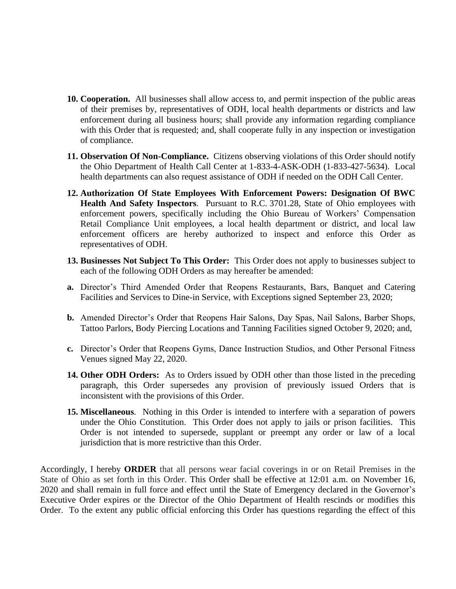- **10. Cooperation.** All businesses shall allow access to, and permit inspection of the public areas of their premises by, representatives of ODH, local health departments or districts and law enforcement during all business hours; shall provide any information regarding compliance with this Order that is requested; and, shall cooperate fully in any inspection or investigation of compliance.
- **11. Observation Of Non-Compliance.** Citizens observing violations of this Order should notify the Ohio Department of Health Call Center at 1-833-4-ASK-ODH (1-833-427-5634). Local health departments can also request assistance of ODH if needed on the ODH Call Center.
- **12. Authorization Of State Employees With Enforcement Powers: Designation Of BWC Health And Safety Inspectors**. Pursuant to R.C. 3701.28, State of Ohio employees with enforcement powers, specifically including the Ohio Bureau of Workers' Compensation Retail Compliance Unit employees, a local health department or district, and local law enforcement officers are hereby authorized to inspect and enforce this Order as representatives of ODH.
- **13. Businesses Not Subject To This Order:** This Order does not apply to businesses subject to each of the following ODH Orders as may hereafter be amended:
- **a.** Director's Third Amended Order that Reopens Restaurants, Bars, Banquet and Catering Facilities and Services to Dine-in Service, with Exceptions signed September 23, 2020;
- **b.** Amended Director's Order that Reopens Hair Salons, Day Spas, Nail Salons, Barber Shops, Tattoo Parlors, Body Piercing Locations and Tanning Facilities signed October 9, 2020; and,
- **c.** Director's Order that Reopens Gyms, Dance Instruction Studios, and Other Personal Fitness Venues signed May 22, 2020.
- **14. Other ODH Orders:** As to Orders issued by ODH other than those listed in the preceding paragraph, this Order supersedes any provision of previously issued Orders that is inconsistent with the provisions of this Order.
- **15. Miscellaneous**. Nothing in this Order is intended to interfere with a separation of powers under the Ohio Constitution. This Order does not apply to jails or prison facilities. This Order is not intended to supersede, supplant or preempt any order or law of a local jurisdiction that is more restrictive than this Order.

Accordingly, I hereby **ORDER** that all persons wear facial coverings in or on Retail Premises in the State of Ohio as set forth in this Order. This Order shall be effective at 12:01 a.m. on November 16, 2020 and shall remain in full force and effect until the State of Emergency declared in the Governor's Executive Order expires or the Director of the Ohio Department of Health rescinds or modifies this Order. To the extent any public official enforcing this Order has questions regarding the effect of this